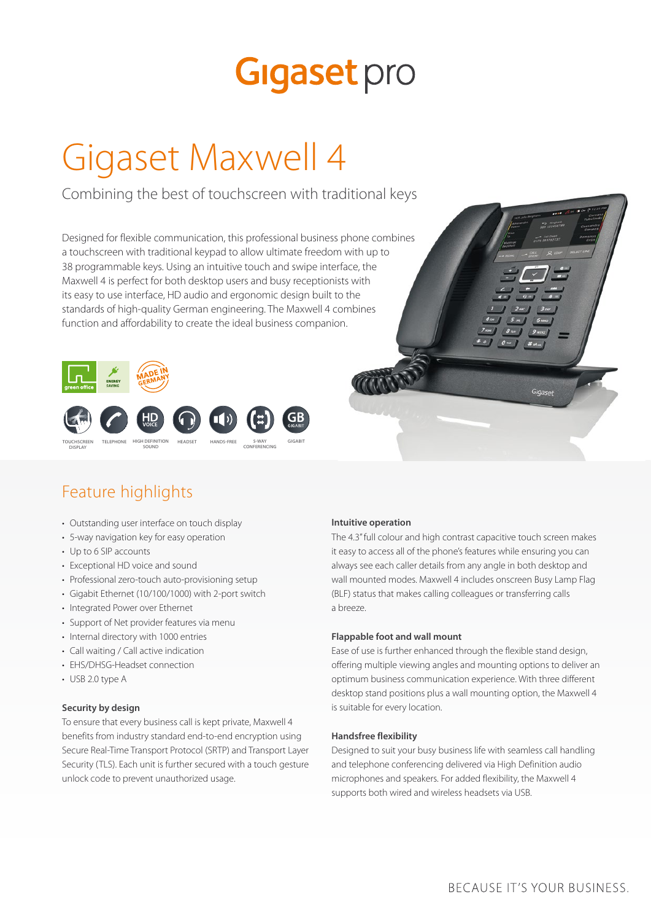# **Gigaset** pro

# Gigaset Maxwell 4

Combining the best of touchscreen with traditional keys

Designed for flexible communication, this professional business phone combines a touchscreen with traditional keypad to allow ultimate freedom with up to 38 programmable keys. Using an intuitive touch and swipe interface, the Maxwell 4 is perfect for both desktop users and busy receptionists with its easy to use interface, HD audio and ergonomic design built to the standards of high-quality German engineering. The Maxwell 4 combines function and affordability to create the ideal business companion.





# Feature highlights

- Outstanding user interface on touch display
- 5-way navigation key for easy operation
- Up to 6 SIP accounts
- Exceptional HD voice and sound
- Professional zero-touch auto-provisioning setup
- Gigabit Ethernet (10/100/1000) with 2-port switch
- Integrated Power over Ethernet
- Support of Net provider features via menu
- Internal directory with 1000 entries
- Call waiting / Call active indication
- EHS/DHSG-Headset connection
- USB 2.0 type A

#### **Security by design**

To ensure that every business call is kept private, Maxwell 4 benefits from industry standard end-to-end encryption using Secure Real-Time Transport Protocol (SRTP) and Transport Layer Security (TLS). Each unit is further secured with a touch gesture unlock code to prevent unauthorized usage.

#### **Intuitive operation**

The 4.3" full colour and high contrast capacitive touch screen makes it easy to access all of the phone's features while ensuring you can always see each caller details from any angle in both desktop and wall mounted modes. Maxwell 4 includes onscreen Busy Lamp Flag (BLF) status that makes calling colleagues or transferring calls a breeze.

#### **Flappable foot and wall mount**

Ease of use is further enhanced through the flexible stand design, offering multiple viewing angles and mounting options to deliver an optimum business communication experience. With three different desktop stand positions plus a wall mounting option, the Maxwell 4 is suitable for every location.

#### **Handsfree flexibility**

Designed to suit your busy business life with seamless call handling and telephone conferencing delivered via High Definition audio microphones and speakers. For added flexibility, the Maxwell 4 supports both wired and wireless headsets via USB.

# BECAUSE IT'S YOUR BUSINESS.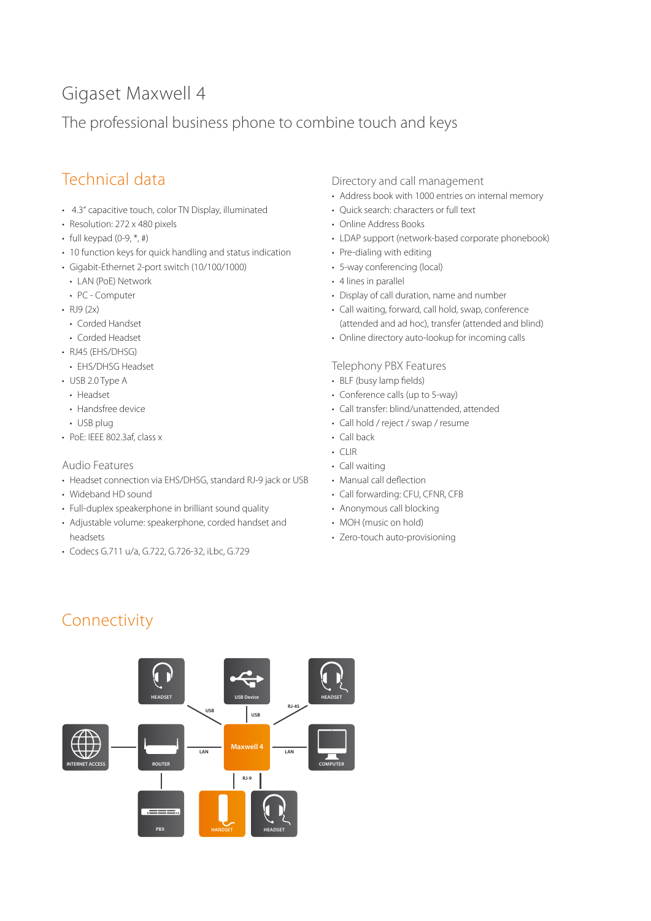# Gigaset Maxwell 4

# The professional business phone to combine touch and keys

# Technical data

- 4.3" capacitive touch, color TN Display, illuminated
- Resolution: 272 x 480 pixels
- full keypad  $(0-9, *, #)$
- 10 function keys for quick handling and status indication
- Gigabit-Ethernet 2-port switch (10/100/1000)
- LAN (PoE) Network
- PC Computer
- $\cdot$  RJ9 (2x)
	- Corded Handset
	- Corded Headset
- RJ45 (EHS/DHSG)
- EHS/DHSG Headset
- USB 2.0 Type A
- Headset
- Handsfree device
- USB plug
- PoE: IEEE 802.3af, class x

## Audio Features

- Headset connection via EHS/DHSG, standard RJ-9 jack or USB
- Wideband HD sound
- Full-duplex speakerphone in brilliant sound quality
- Adjustable volume: speakerphone, corded handset and headsets
- Codecs G.711 u/a, G.722, G.726-32, iLbc, G.729

# Directory and call management

- Address book with 1000 entries on internal memory
- Quick search: characters or full text
- Online Address Books
- LDAP support (network-based corporate phonebook)
- Pre-dialing with editing
- 5-way conferencing (local)
- 4 lines in parallel
- Display of call duration, name and number
- Call waiting, forward, call hold, swap, conference (attended and ad hoc), transfer (attended and blind)
- Online directory auto-lookup for incoming calls

## Telephony PBX Features

- BLF (busy lamp fields)
- Conference calls (up to 5-way)
- Call transfer: blind/unattended, attended
- Call hold / reject / swap / resume
- Call back
- CLIR
- Call waiting
- Manual call deflection
- Call forwarding: CFU, CFNR, CFB
- Anonymous call blocking
- MOH (music on hold)
- Zero-touch auto-provisioning

# Connectivity

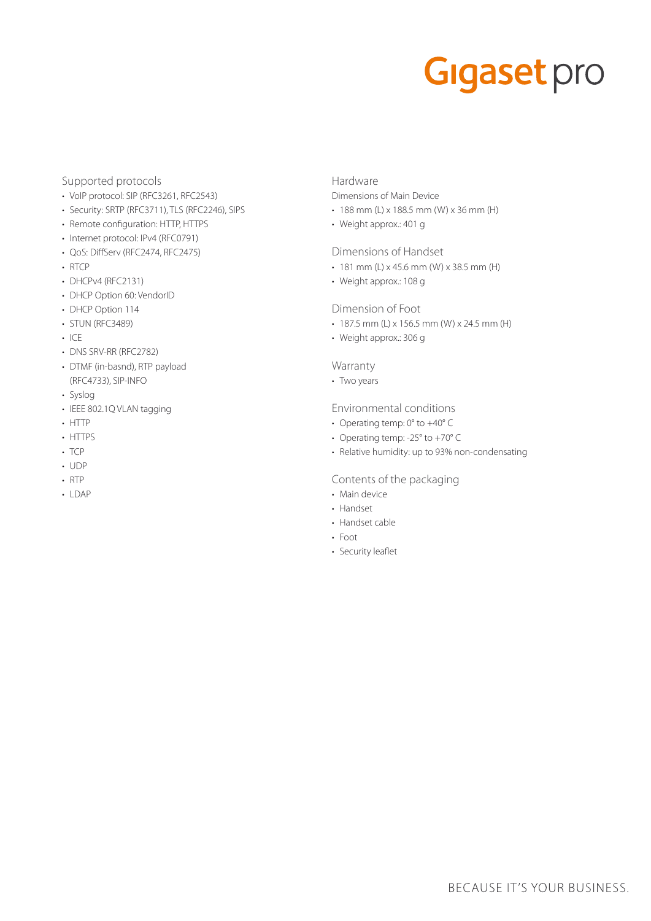# **Gigaset** pro

#### Supported protocols

- VoIP protocol: SIP (RFC3261, RFC2543)
- Security: SRTP (RFC3711), TLS (RFC2246), SIPS
- Remote configuration: HTTP, HTTPS
- Internet protocol: IPv4 (RFC0791)
- QoS: DiffServ (RFC2474, RFC2475)
- RTCP
- DHCPv4 (RFC2131)
- DHCP Option 60: VendorID
- DHCP Option 114
- STUN (RFC3489)
- ICE
- DNS SRV-RR (RFC2782)
- DTMF (in-basnd), RTP payload (RFC4733), SIP-INFO
- Syslog
- IEEE 802.1Q VLAN tagging
- HTTP
- HTTPS
- TCP
- UDP
- RTP
- LDAP

# Hardware

Dimensions of Main Device

- 188 mm (L) x 188.5 mm (W) x 36 mm (H)
- Weight approx.: 401 g

## Dimensions of Handset

- $\cdot$  181 mm (L) x 45.6 mm (W) x 38.5 mm (H)
- Weight approx.: 108 g

# Dimension of Foot

- $\cdot$  187.5 mm (L) x 156.5 mm (W) x 24.5 mm (H)
- Weight approx.: 306 g

# Warranty

• Two years

## Environmental conditions

- Operating temp: 0° to +40° C
- Operating temp: -25° to +70° C
- Relative humidity: up to 93% non-condensating

## Contents of the packaging

- Main device
- Handset
- Handset cable
- Foot
- Security leaflet